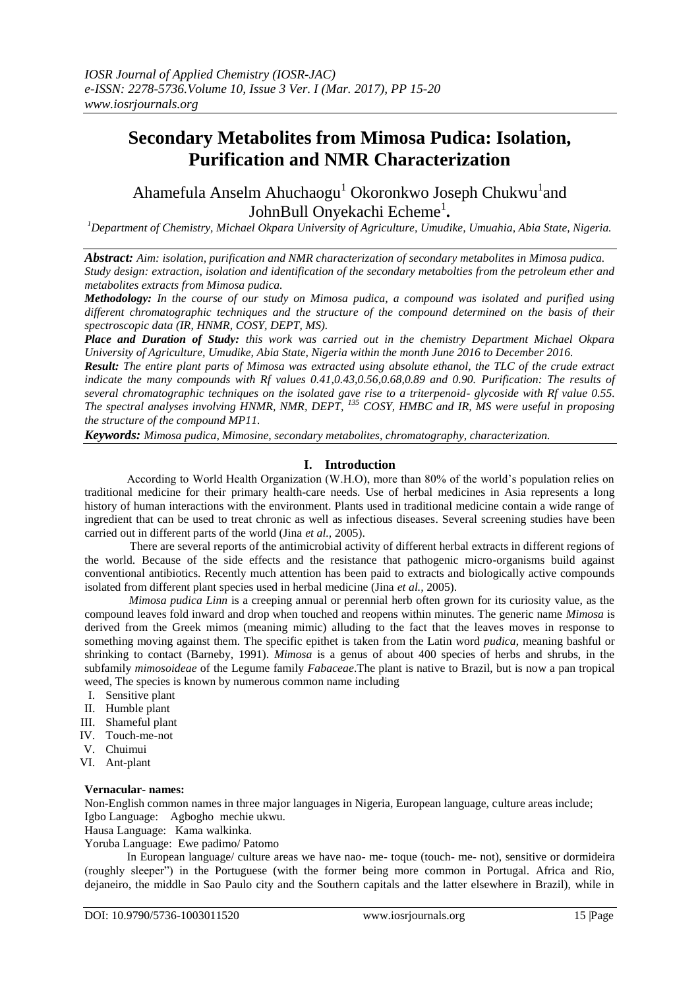# **Secondary Metabolites from Mimosa Pudica: Isolation, Purification and NMR Characterization**

Ahamefula Anselm Ahuchaogu<sup>1</sup> Okoronkwo Joseph Chukwu<sup>1</sup>and JohnBull Onyekachi Echeme<sup>1</sup>.

*<sup>1</sup>Department of Chemistry, Michael Okpara University of Agriculture, Umudike, Umuahia, Abia State, Nigeria.*

*Abstract: Aim: isolation, purification and NMR characterization of secondary metabolites in Mimosa pudica. Study design: extraction, isolation and identification of the secondary metabolties from the petroleum ether and metabolites extracts from Mimosa pudica.*

*Methodology: In the course of our study on Mimosa pudica, a compound was isolated and purified using different chromatographic techniques and the structure of the compound determined on the basis of their spectroscopic data (IR, HNMR, COSY, DEPT, MS).*

*Place and Duration of Study: this work was carried out in the chemistry Department Michael Okpara University of Agriculture, Umudike, Abia State, Nigeria within the month June 2016 to December 2016.*

*Result: The entire plant parts of Mimosa was extracted using absolute ethanol, the TLC of the crude extract indicate the many compounds with Rf values 0.41,0.43,0.56,0.68,0.89 and 0.90. Purification: The results of several chromatographic techniques on the isolated gave rise to a triterpenoid- glycoside with Rf value 0.55. The spectral analyses involving HNMR, NMR, DEPT, <sup>135</sup> COSY, HMBC and IR, MS were useful in proposing the structure of the compound MP11.*

*Keywords: Mimosa pudica, Mimosine, secondary metabolites, chromatography, characterization.* 

## **I. Introduction**

According to World Health Organization (W.H.O), more than 80% of the world's population relies on traditional medicine for their primary health-care needs. Use of herbal medicines in Asia represents a long history of human interactions with the environment. Plants used in traditional medicine contain a wide range of ingredient that can be used to treat chronic as well as infectious diseases. Several screening studies have been carried out in different parts of the world (Jina *et al.,* 2005).

There are several reports of the antimicrobial activity of different herbal extracts in different regions of the world. Because of the side effects and the resistance that pathogenic micro-organisms build against conventional antibiotics. Recently much attention has been paid to extracts and biologically active compounds isolated from different plant species used in herbal medicine (Jina *et al.,* 2005).

*Mimosa pudica Linn* is a creeping annual or perennial herb often grown for its curiosity value, as the compound leaves fold inward and drop when touched and reopens within minutes. The generic name *Mimosa* is derived from the Greek mimos (meaning mimic) alluding to the fact that the leaves moves in response to something moving against them. The specific epithet is taken from the Latin word *pudica*, meaning bashful or shrinking to contact (Barneby, 1991). *Mimosa* is a genus of about 400 species of herbs and shrubs, in the subfamily *mimosoideae* of the Legume family *Fabaceae*.The plant is native to Brazil, but is now a pan tropical weed, The species is known by numerous common name including

- I. Sensitive plant
- II. Humble plant
- III. Shameful plant
- IV. Touch-me-not
- V. Chuimui
- VI. Ant-plant

## **Vernacular- names:**

Non-English common names in three major languages in Nigeria, European language, culture areas include; Igbo Language: Agbogho mechie ukwu.

Hausa Language: Kama walkinka.

Yoruba Language: Ewe padimo/ Patomo

In European language/ culture areas we have nao- me- toque (touch- me- not), sensitive or dormideira (roughly sleeper") in the Portuguese (with the former being more common in Portugal. Africa and Rio, dejaneiro, the middle in Sao Paulo city and the Southern capitals and the latter elsewhere in Brazil), while in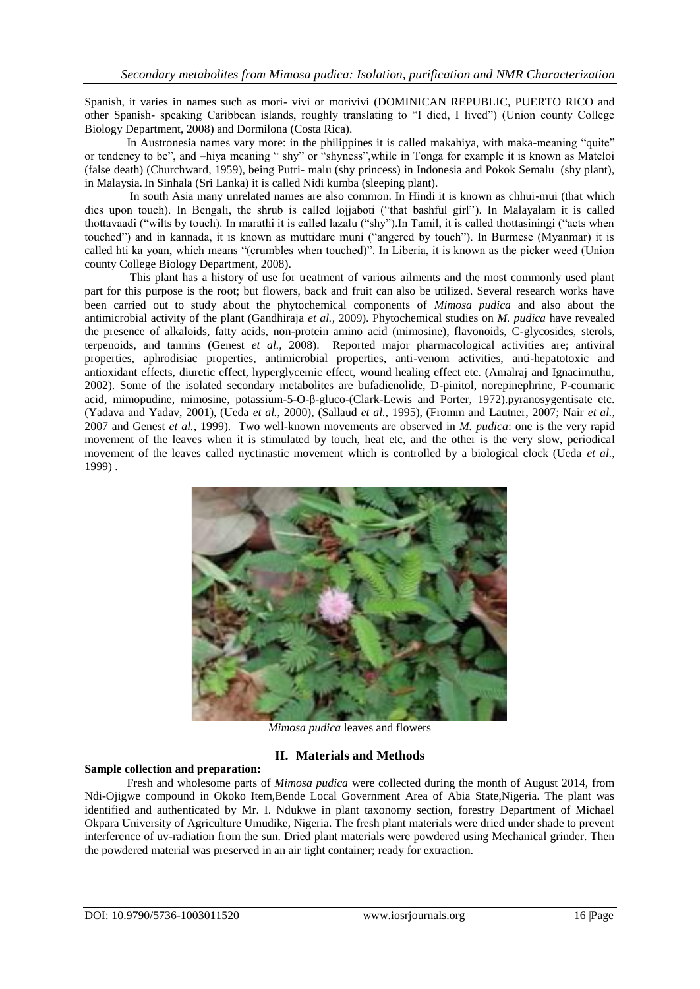Spanish, it varies in names such as mori- vivi or morivivi (DOMINICAN REPUBLIC, PUERTO RICO and other Spanish- speaking Caribbean islands, roughly translating to "I died, I lived") (Union county College Biology Department, 2008) and Dormilona (Costa Rica).

In Austronesia names vary more: in the philippines it is called makahiya, with maka-meaning "quite" or tendency to be", and –hiya meaning " shy" or "shyness",while in Tonga for example it is known as Mateloi (false death) (Churchward, 1959), being Putri- malu (shy princess) in Indonesia and Pokok Semalu (shy plant), in Malaysia. In Sinhala (Sri Lanka) it is called Nidi kumba (sleeping plant).

In south Asia many unrelated names are also common. In Hindi it is known as chhui-mui (that which dies upon touch). In Bengali, the shrub is called lojjaboti ("that bashful girl"). In Malayalam it is called thottavaadi ("wilts by touch). In marathi it is called lazalu ("shy").In Tamil, it is called thottasiningi ("acts when touched") and in kannada, it is known as muttidare muni ("angered by touch"). In Burmese (Myanmar) it is called hti ka yoan, which means "(crumbles when touched)". In Liberia, it is known as the picker weed (Union county College Biology Department, 2008).

This plant has a history of use for treatment of various ailments and the most commonly used plant part for this purpose is the root; but flowers, back and fruit can also be utilized. Several research works have been carried out to study about the phytochemical components of *Mimosa pudica* and also about the antimicrobial activity of the plant (Gandhiraja *et al.,* 2009). Phytochemical studies on *M. pudica* have revealed the presence of alkaloids, fatty acids, non-protein amino acid (mimosine), flavonoids, C-glycosides, sterols, terpenoids, and tannins (Genest *et al.,* 2008). Reported major pharmacological activities are; antiviral properties, aphrodisiac properties, antimicrobial properties, anti-venom activities, anti-hepatotoxic and antioxidant effects, diuretic effect, hyperglycemic effect, wound healing effect etc. (Amalraj and Ignacimuthu, 2002). Some of the isolated secondary metabolites are bufadienolide, D-pinitol, norepinephrine, P-coumaric acid, mimopudine, mimosine, potassium-5-O-β-gluco-(Clark-Lewis and Porter, 1972).pyranosygentisate etc. (Yadava and Yadav, 2001), (Ueda *et al.*, 2000), (Sallaud *et al.,* 1995), (Fromm and Lautner, 2007; Nair *et al.,* 2007 and Genest *et al.,* 1999). Two well-known movements are observed in *M. pudica*: one is the very rapid movement of the leaves when it is stimulated by touch, heat etc, and the other is the very slow, periodical movement of the leaves called nyctinastic movement which is controlled by a biological clock (Ueda *et al.,* 1999) .



*Mimosa pudica* leaves and flowers

## **II. Materials and Methods**

## **Sample collection and preparation:**

Fresh and wholesome parts of *Mimosa pudica* were collected during the month of August 2014, from Ndi-Ojigwe compound in Okoko Item,Bende Local Government Area of Abia State,Nigeria. The plant was identified and authenticated by Mr. I. Ndukwe in plant taxonomy section, forestry Department of Michael Okpara University of Agriculture Umudike, Nigeria. The fresh plant materials were dried under shade to prevent interference of uv-radiation from the sun. Dried plant materials were powdered using Mechanical grinder. Then the powdered material was preserved in an air tight container; ready for extraction.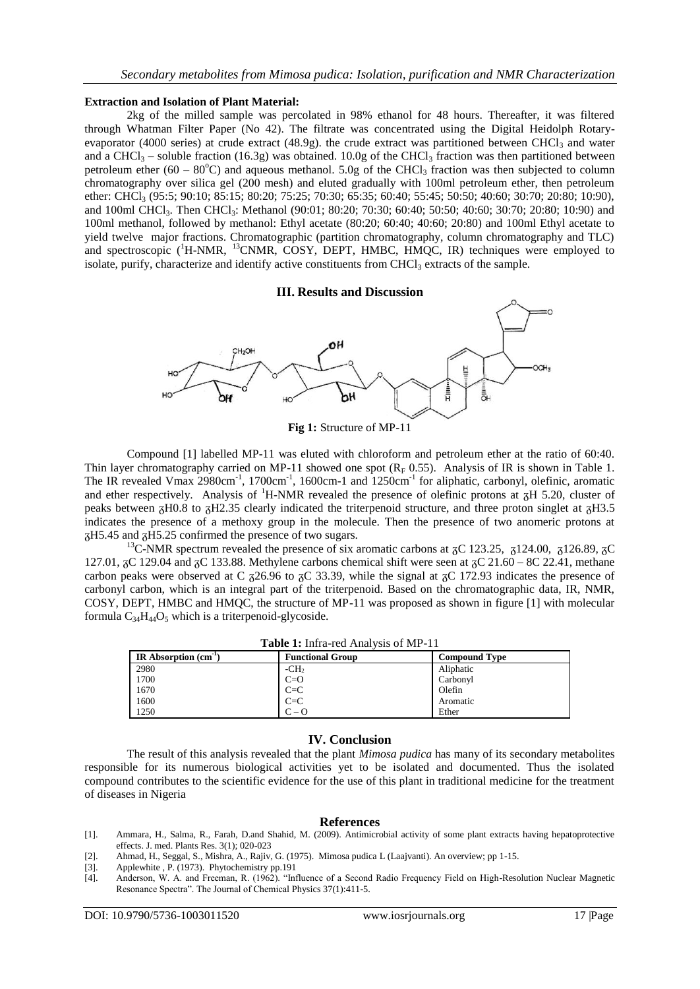### **Extraction and Isolation of Plant Material:**

2kg of the milled sample was percolated in 98% ethanol for 48 hours. Thereafter, it was filtered through Whatman Filter Paper (No 42). The filtrate was concentrated using the Digital Heidolph Rotaryevaporator (4000 series) at crude extract (48.9g). the crude extract was partitioned between CHCl<sub>3</sub> and water and a CHCl<sub>3</sub> – soluble fraction (16.3g) was obtained. 10.0g of the CHCl<sub>3</sub> fraction was then partitioned between petroleum ether (60 – 80 $^{\circ}$ C) and aqueous methanol. 5.0g of the CHCl<sub>3</sub> fraction was then subjected to column chromatography over silica gel (200 mesh) and eluted gradually with 100ml petroleum ether, then petroleum ether: CHCl<sub>3</sub> (95:5; 90:10; 85:15; 80:20; 75:25; 70:30; 65:35; 60:40; 55:45; 50:50; 40:60; 30:70; 20:80; 10:90), and 100ml CHCl<sub>3</sub>. Then CHCl<sub>3</sub>: Methanol (90:01; 80:20; 70:30; 60:40; 50:50; 40:60; 30:70; 20:80; 10:90) and 100ml methanol, followed by methanol: Ethyl acetate (80:20; 60:40; 40:60; 20:80) and 100ml Ethyl acetate to yield twelve major fractions. Chromatographic (partition chromatography, column chromatography and TLC) and spectroscopic (<sup>1</sup>H-NMR, <sup>13</sup>CNMR, COSY, DEPT, HMBC, HMQC, IR) techniques were employed to isolate, purify, characterize and identify active constituents from  $CHCl<sub>3</sub>$  extracts of the sample.

### **III. Results and Discussion**



Compound [1] labelled MP-11 was eluted with chloroform and petroleum ether at the ratio of 60:40. Thin layer chromatography carried on MP-11 showed one spot  $(R_F 0.55)$ . Analysis of IR is shown in Table 1. The IR revealed Vmax 2980cm<sup>-1</sup>, 1700cm<sup>-1</sup>, 1600cm-1 and 1250cm<sup>-1</sup> for aliphatic, carbonyl, olefinic, aromatic and ether respectively. Analysis of  $^1$ H-NMR revealed the presence of olefinic protons at  $\overline{A}$ H 5.20, cluster of peaks between  $\overline{A}H0.8$  to  $\overline{A}H2.35$  clearly indicated the triterpenoid structure, and three proton singlet at  $\overline{A}H3.5$ indicates the presence of a methoxy group in the molecule. Then the presence of two anomeric protons at  $\overline{\text{A}}$ H5.45 and  $\overline{\text{A}}$ H5.25 confirmed the presence of two sugars.

<sup>13</sup>C-NMR spectrum revealed the presence of six aromatic carbons at  $\alpha$ C 123.25,  $\alpha$ 124.00,  $\alpha$ 126.89,  $\alpha$ C 127.01,  $\overline{AC}$  129.04 and  $\overline{AC}$  133.88. Methylene carbons chemical shift were seen at  $\overline{OC}$  21.60 – 8C 22.41, methane carbon peaks were observed at C  $_{726.96}$  to  $_{78}$ C 33.39, while the signal at  $_{78}$ C 172.93 indicates the presence of carbonyl carbon, which is an integral part of the triterpenoid. Based on the chromatographic data, IR, NMR, COSY, DEPT, HMBC and HMQC, the structure of MP-11 was proposed as shown in figure [1] with molecular formula  $C_{34}H_{44}O_5$  which is a triterpenoid-glycoside.

| IR Absorption $(cm-1)$ | <b>Functional Group</b> | <b>Compound Type</b> |
|------------------------|-------------------------|----------------------|
| 2980                   | $-CH2$                  | Aliphatic            |
| 1700                   | $C=O$                   | Carbonyl             |
| 1670                   | $C = C$                 | Olefin               |
| 1600                   | $C = C$                 | Aromatic             |
| 1250                   | $C - Q$                 | Ether                |

## **IV. Conclusion**

The result of this analysis revealed that the plant *Mimosa pudica* has many of its secondary metabolites responsible for its numerous biological activities yet to be isolated and documented. Thus the isolated compound contributes to the scientific evidence for the use of this plant in traditional medicine for the treatment of diseases in Nigeria

#### **References**

- [1]. Ammara, H., Salma, R., Farah, D.and Shahid, M. (2009). Antimicrobial activity of some plant extracts having hepatoprotective effects. J. med. Plants Res. 3(1); 020-023
- [2]. Ahmad, H., Seggal, S., Mishra, A., Rajiv, G. (1975). Mimosa pudica L (Laajvanti). An overview; pp 1-15.
- Applewhite , P. (1973). Phytochemistry pp.191
- [4]. Anderson, W. A. and Freeman, R. (1962). "Influence of a Second Radio Frequency Field on High-Resolution Nuclear Magnetic Resonance Spectra". The Journal of Chemical Physics 37(1):411-5.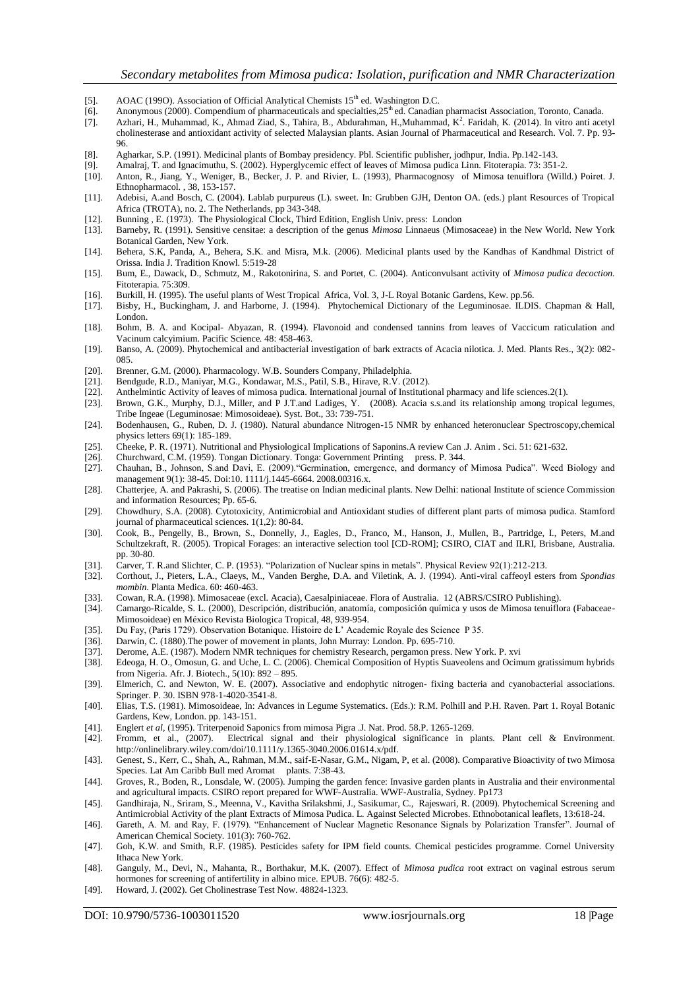- [5]. AOAC (1990). Association of Official Analytical Chemists 15<sup>th</sup> ed. Washington D.C.
- [6]. Anonymous (2000). Compendium of pharmaceuticals and specialties,  $25<sup>th</sup>$ ed. Canadian pharmacist Association, Toronto, Canada. [7]. Azhari, H., Muhammad, K., Ahmad Ziad, S., Tahira, B., Abdurahman, H., Muhammad, K<sup></sup>
- [7]. Azhari, H., Muhammad, K., Ahmad Ziad, S., Tahira, B., Abdurahman, H.,Muhammad, K<sup>2</sup>. Faridah, K. (2014). In vitro anti acetyl cholinesterase and antioxidant activity of selected Malaysian plants. Asian Journal of Pharmaceutical and Research. Vol. 7. Pp. 93- 96.
- [8]. Agharkar, S.P. (1991). Medicinal plants of Bombay presidency. Pbl. Scientific publisher, jodhpur, India. Pp.142-143.
- [9]. Amalraj, T. and Ignacimuthu, S. (2002). Hyperglycemic effect of leaves of Mimosa pudica Linn. Fitoterapia. 73: 351-2.
- [10]. Anton, R., Jiang, Y., Weniger, B., Becker, J. P. and Rivier, L. (1993), Pharmacognosy of Mimosa tenuiflora (Willd.) Poiret. J. Ethnopharmacol. , 38, 153-157.
- [11]. Adebisi, A.and Bosch, C. (2004). Lablab purpureus (L). sweet. In: Grubben GJH, Denton OA. (eds.) plant Resources of Tropical Africa (TROTA), no. 2. The Netherlands, pp 343-348.
- [12]. Bunning , E. (1973). The Physiological Clock, Third Edition, English Univ. press: London
- [13]. Barneby, R. (1991). Sensitive censitae: a description of the genus *Mimosa* Linnaeus (Mimosaceae) in the New World. New York Botanical Garden, New York.
- [14]. Behera, S.K, Panda, A., Behera, S.K. and Misra, M.k. (2006). Medicinal plants used by the Kandhas of Kandhmal District of Orissa. India J. Tradition Knowl. 5:519-28
- [15]. Bum, E., Dawack, D., Schmutz, M., Rakotonirina, S. and Portet, C. (2004). Anticonvulsant activity of *Mimosa pudica decoction.*  Fitoterapia. 75:309.
- [16]. Burkill, H. (1995). The useful plants of West Tropical Africa, Vol. 3, J-L Royal Botanic Gardens, Kew. pp.56.
- [17]. Bisby, H., Buckingham, J. and Harborne, J. (1994). Phytochemical Dictionary of the Leguminosae. ILDIS. Chapman & Hall, London.
- [18]. Bohm, B. A. and Kocipal- Abyazan, R. (1994). Flavonoid and condensed tannins from leaves of Vaccicum raticulation and Vacinum calcyimium. Pacific Science. 48: 458-463.
- [19]. Banso, A. (2009). Phytochemical and antibacterial investigation of bark extracts of Acacia nilotica. J. Med. Plants Res., 3(2): 082- 085.
- [20]. Brenner, G.M. (2000). Pharmacology. W.B. Sounders Company, Philadelphia.
- [21]. Bendgude, R.D., Maniyar, M.G., Kondawar, M.S., Patil, S.B., Hirave, R.V. (2012).
- [22]. Anthelmintic Activity of leaves of mimosa pudica. International journal of Institutional pharmacy and life sciences.2(1).
- [23]. Brown, G.K., Murphy, D.J., Miller, and P J.T.and Ladiges, Y. (2008). Acacia s.s.and its relationship among tropical legumes, Tribe Ingeae (Leguminosae: Mimosoideae). Syst. Bot., 33: 739-751.
- [24]. Bodenhausen, G., Ruben, D. J. (1980). Natural abundance Nitrogen-15 NMR by enhanced heteronuclear Spectroscopy,chemical physics letters 69(1): 185-189.
- [25]. Cheeke, P. R. (1971). Nutritional and Physiological Implications of Saponins.A review Can .J. Anim . Sci. 51: 621-632.
- 
- [26]. Churchward, C.M. (1959). Tongan Dictionary. Tonga: Government Printing press. P. 344. [27]. Chauhan, B., Johnson, S.and Davi, E. (2009). "Germination, emergence, and dormancy o [27]. Chauhan, B., Johnson, S.and Davi, E. (2009)."Germination, emergence, and dormancy of Mimosa Pudica". Weed Biology and management 9(1): 38-45. Doi:10. 1111/j.1445-6664. 2008.00316.x.
- [28]. Chatterjee, A. and Pakrashi, S. (2006). The treatise on Indian medicinal plants. New Delhi: national Institute of science Commission and information Resources; Pp. 65-6.
- [29]. Chowdhury, S.A. (2008). Cytotoxicity, Antimicrobial and Antioxidant studies of different plant parts of mimosa pudica. Stamford journal of pharmaceutical sciences. 1(1,2): 80-84.
- [30]. Cook, B., Pengelly, B., Brown, S., Donnelly, J., Eagles, D., Franco, M., Hanson, J., Mullen, B., Partridge, I., Peters, M.and Schultzekraft, R. (2005). Tropical Forages: an interactive selection tool [CD-ROM]; CSIRO, CIAT and ILRI, Brisbane, Australia. pp. 30-80.
- [31]. Carver, T. R.and Slichter, C. P. (1953). "Polarization of Nuclear spins in metals". Physical Review 92(1):212-213.
- [32]. Corthout, J., Pieters, L.A., Claeys, M., Vanden Berghe, D.A. and Viletink, A. J. (1994). Anti-viral caffeoyl esters from *Spondias mombin*. Planta Medica. 60: 460-463.
- [33]. Cowan, R.A. (1998). Mimosaceae (excl. Acacia), Caesalpiniaceae. Flora of Australia. 12 (ABRS/CSIRO Publishing).
- [34]. Camargo-Ricalde, S. L. (2000), Descripción, distribución, anatomía, composición química y usos de Mimosa tenuiflora (Fabaceae-Mimosoideae) en México Revista Biologica Tropical, 48, 939-954.
- [35]. Du Fay, (Paris 1729). Observation Botanique. Histoire de L' Academic Royale des Science P 35.
- [36]. Darwin, C. (1880).The power of movement in plants, John Murray: London. Pp. 695-710.
- [37]. Derome, A.E. (1987). Modern NMR techniques for chemistry Research, pergamon press. New York. P. xvi [38]. Edeoga, H. O., Omosun, G. and Uche, L. C. (2006). Chemical Composition of Hyptis Suaveolens and Ocin
- Edeoga, H. O., Omosun, G. and Uche, L. C. (2006). Chemical Composition of Hyptis Suaveolens and Ocimum gratissimum hybrids from Nigeria. Afr. J. Biotech., 5(10): 892 – 895.
- [39]. Elmerich, C. and Newton, W. E. (2007). Associative and endophytic nitrogen- fixing bacteria and cyanobacterial associations. Springer. P. 30. ISBN 978-1-4020-3541-8.
- [40]. Elias, T.S. (1981). Mimosoideae, In: Advances in Legume Systematics. (Eds.): R.M. Polhill and P.H. Raven. Part 1. Royal Botanic Gardens, Kew, London. pp. 143-151.
- [41]. Englert *et al,* (1995). Triterpenoid Saponics from mimosa Pigra .J. Nat. Prod. 58.P. 1265-1269.
- [42]. Fromm, et al., (2007). Electrical signal and their physiological significance in plants. Plant cell & Environment. [http://onlinelibrary.wiley.com/doi/10.1111/y.1365-3040.2006.01614.x/pdf.](http://onliinelibrary.wiley.com/doi/10.1111/y.1365-3040.2006.01614.x/pdf)
- [43]. Genest, S., Kerr, C., Shah, A., Rahman, M.M., saif-E-Nasar, G.M., Nigam, P, et al. (2008). Comparative Bioactivity of two Mimosa Species. Lat Am Caribb Bull med Aromat plants. 7:38-43.
- [44]. Groves, R., Boden, R., Lonsdale, W. (2005). Jumping the garden fence: Invasive garden plants in Australia and their environmental and agricultural impacts. CSIRO report prepared for WWF-Australia. WWF-Australia, Sydney. Pp173
- [45]. Gandhiraja, N., Sriram, S., Meenna, V., Kavitha Srilakshmi, J., Sasikumar, C., Rajeswari, R. (2009). Phytochemical Screening and Antimicrobial Activity of the plant Extracts of Mimosa Pudica. L. Against Selected Microbes. Ethnobotanical leaflets, 13:618-24.
- [46]. Gareth, A. M. and Ray, F. (1979). "Enhancement of Nuclear Magnetic Resonance Signals by Polarization Transfer". Journal of American Chemical Society. 101(3): 760-762.
- [47]. Goh, K.W. and Smith, R.F. (1985). Pesticides safety for IPM field counts. Chemical pesticides programme. Cornel University Ithaca New York.
- [48]. Ganguly, M., Devi, N., Mahanta, R., Borthakur, M.K. (2007). Effect of *Mimosa pudica* root extract on vaginal estrous serum hormones for screening of antifertility in albino mice. EPUB. 76(6): 482-5.
- [49]. Howard, J. (2002). Get Cholinestrase Test Now. 48824-1323.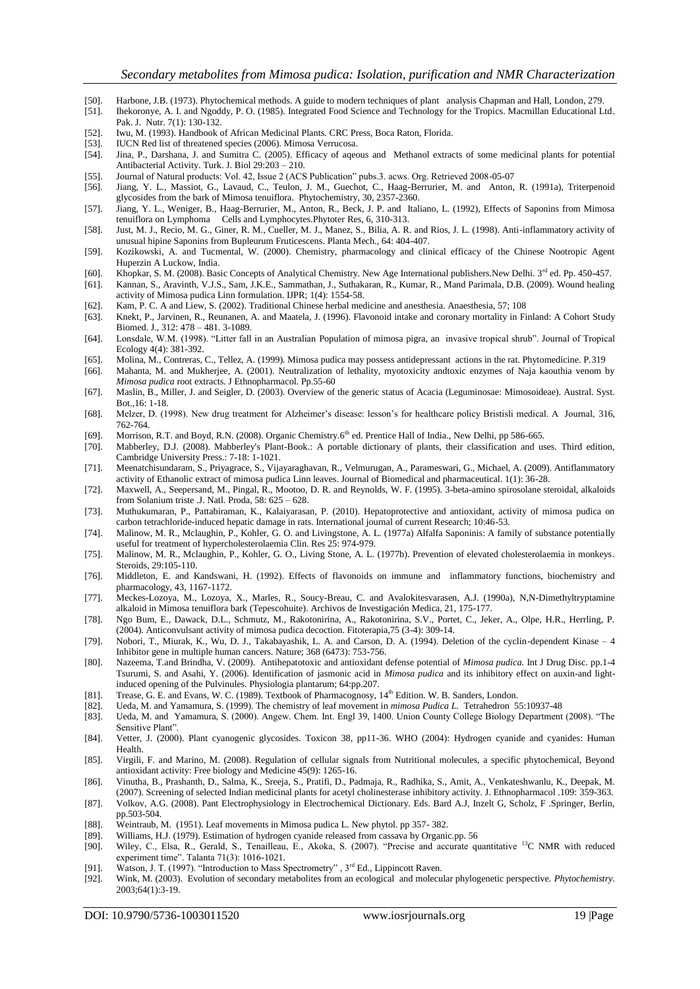- 
- [50]. Harbone, J.B. (1973). Phytochemical methods. A guide to modern techniques of plant analysis Chapman and Hall, London, 279. [51]. Ihekoronye, A. I. and Ngoddy, P. O. (1985). Integrated Food Science and Technology for the Tropics. Macmillan Educational Ltd. Pak. J. Nutr. 7(1): 130-132.
- [52]. Iwu, M. (1993). Handbook of African Medicinal Plants. CRC Press, Boca Raton, Florida.
- [53]. IUCN Red list of threatened species (2006). Mimosa Verrucosa.
- [54]. Jina, P., Darshana, J. and Sumitra C. (2005). Efficacy of aqeous and Methanol extracts of some medicinal plants for potential Antibacterial Activity. Turk. J. Biol 29:203 – 210.
- [55]. Journal of Natural products: Vol. 42, Issue 2 (ACS Publication" pubs.3. acws. Org. Retrieved 2008-05-07<br>[56]. Jiang, Y. L., Massiot, G., Lavaud, C., Teulon, J. M., Guechot, C., Haag-Berrurier, M. and Anton,
- Jiang, Y. L., Massiot, G., Lavaud, C., Teulon, J. M., Guechot, C., Haag-Berrurier, M. and Anton, R. (1991a), Triterpenoid glycosides from the bark of Mimosa tenuiflora. Phytochemistry, 30, 2357-2360.
- [57]. Jiang, Y. L., Weniger, B., Haag-Berrurier, M., Anton, R., Beck, J. P. and Italiano, L. (1992), Effects of Saponins from Mimosa tenuiflora on Lymphoma Cells and Lymphocytes.Phytoter Res, 6, 310-313.
- [58]. Just, M. J., Recio, M. G., Giner, R. M., Cueller, M. J., Manez, S., Bilia, A. R. and Rios, J. L. (1998). Anti-inflammatory activity of unusual hipine Saponins from Bupleurum Fruticescens. Planta Mech., 64: 404-407.
- [59]. Kozikowski, A. and Tucmental, W. (2000). Chemistry, pharmacology and clinical efficacy of the Chinese Nootropic Agent Huperzin A Luckow, India.
- [60]. Khopkar, S. M. (2008). Basic Concepts of Analytical Chemistry. New Age International publishers.New Delhi. 3<sup>rd</sup> ed. Pp. 450-457.
- [61]. Kannan, S., Aravinth, V.J.S., Sam, J.K.E., Sammathan, J., Suthakaran, R., Kumar, R., Mand Parimala, D.B. (2009). Wound healing activity of Mimosa pudica Linn formulation. IJPR; 1(4): 1554-58.
- [62]. Kam, P. C. A and Liew, S. (2002). Traditional Chinese herbal medicine and anesthesia. Anaesthesia, 57; 108
- [63]. Knekt, P., Jarvinen, R., Reunanen, A. and Maatela, J. (1996). Flavonoid intake and coronary mortality in Finland: A Cohort Study Biomed. J., 312: 478 – 481. 3-1089.
- [64]. Lonsdale, W.M. (1998). "Litter fall in an Australian Population of mimosa pigra, an invasive tropical shrub". Journal of Tropical Ecology 4(4): 381-392.
- [65]. Molina, M., Contreras, C., Tellez, A. (1999). Mimosa pudica may possess antidepressant actions in the rat. Phytomedicine. P.319
- [66]. Mahanta, M. and Mukherjee, A. (2001). Neutralization of lethality, myotoxicity andtoxic enzymes of Naja kaouthia venom by *Mimosa pudica* root extracts. J Ethnopharmacol. Pp.55-60
- [67]. Maslin, B., Miller, J. and Seigler, D. (2003). Overview of the generic status of Acacia (Leguminosae: Mimosoideae). Austral. Syst. Bot.,16: 1-18.
- [68]. Melzer, D. (1998). New drug treatment for Alzheimer's disease: lesson's for healthcare policy Bristisli medical. A Journal, 316, 762-764.
- [69]. Morrison, R.T. and Boyd, R.N. (2008). Organic Chemistry.6<sup>th</sup> ed. Prentice Hall of India., New Delhi, pp 586-665.
- [70]. Mabberley, D.J. (2008). Mabberley's Plant-Book.: A portable dictionary of plants, their classification and uses. Third edition, Cambridge University Press.: 7-18: 1-1021.
- [71]. Meenatchisundaram, S., Priyagrace, S., Vijayaraghavan, R., Velmurugan, A., Parameswari, G., Michael, A. (2009). Antiflammatory activity of Ethanolic extract of mimosa pudica Linn leaves. Journal of Biomedical and pharmaceutical. 1(1): 36-28.
- [72]. Maxwell, A., Seepersand, M., Pingal, R., Mootoo, D. R. and Reynolds, W. F. (1995). 3-beta-amino spirosolane steroidal, alkaloids from Solanium triste .J. Natl. Proda, 58: 625 – 628.
- [73]. Muthukumaran, P., Pattabiraman, K., Kalaiyarasan, P. (2010). Hepatoprotective and antioxidant, activity of mimosa pudica on carbon tetrachloride-induced hepatic damage in rats. International journal of current Research; 10:46-53.
- [74]. Malinow, M. R., Mclaughin, P., Kohler, G. O. and Livingstone, A. L. (1977a) Alfalfa Saponinis: A family of substance potentially useful for treatment of hypercholesterolaemia Clin. Res 25: 974-979.
- [75]. Malinow, M. R., Mclaughin, P., Kohler, G. O., Living Stone, A. L. (1977b). Prevention of elevated cholesterolaemia in monkeys. Steroids, 29:105-110.
- [76]. Middleton, E. and Kandswani, H. (1992). Effects of flavonoids on immune and inflammatory functions, biochemistry and pharmacology, 43, 1167-1172.
- [77]. Meckes-Lozoya, M., Lozoya, X., Marles, R., Soucy-Breau, C. and Avalokitesvarasen, A.J. (1990a), N,N-Dimethyltryptamine alkaloid in Mimosa tenuiflora bark (Tepescohuite). Archivos de Investigación Medica, 21, 175-177.
- [78]. Ngo Bum, E., Dawack, D.L., Schmutz, M., Rakotonirina, A., Rakotonirina, S.V., Portet, C., Jeker, A., Olpe, H.R., Herrling, P. (2004). Anticonvulsant activity of mimosa pudica decoction. Fitoterapia,75 (3-4): 309-14.
- [79]. Nobori, T., Miurak, K., Wu, D. J., Takabayashik, L. A. and Carson, D. A. (1994). Deletion of the cyclin-dependent Kinase 4 Inhibitor gene in multiple human cancers. Nature; 368 (6473): 753-756.
- [80]. Nazeema, T.and Brindha, V. (2009). Antihepatotoxic and antioxidant defense potential of *Mimosa pudica.* Int J Drug Disc. pp.1-4 Tsurumi, S. and Asahi, Y. (2006). Identification of jasmonic acid in *Mimosa pudica* and its inhibitory effect on auxin-and lightinduced opening of the Pulvinules. Physiologia plantarum; 64:pp.207.
- [81]. Trease, G. E. and Evans, W. C. (1989). Textbook of Pharmacognosy, 14<sup>th</sup> Edition. W. B. Sanders, London.
- [82]. Ueda, M. and Yamamura, S. (1999). The chemistry of leaf movement in *mimosa Pudica L.* Tetrahedron 55:10937-48
- [83]. Ueda, M. and Yamamura, S. (2000). Angew. Chem. Int. Engl 39, 1400. Union County College Biology Department (2008). "The Sensitive Plant".
- [84]. Vetter, J. (2000). Plant cyanogenic glycosides. Toxicon 38, pp11-36. WHO (2004): Hydrogen cyanide and cyanides: Human Health.
- [85]. Virgili, F. and Marino, M. (2008). Regulation of cellular signals from Nutritional molecules, a specific phytochemical, Beyond antioxidant activity: Free biology and Medicine 45(9): 1265-16.
- [86]. Vinutha, B., Prashanth, D., Salma, K., Sreeja, S., Pratifi, D., Padmaja, R., Radhika, S., Amit, A., Venkateshwanlu, K., Deepak, M. (2007). Screening of selected Indian medicinal plants for acetyl cholinesterase inhibitory activity. J. Ethnopharmacol .109: 359-363.
- [87]. Volkov, A.G. (2008). Pant Electrophysiology in Electrochemical Dictionary. Eds. Bard A.J, Inzelt G, Scholz, F .Springer, Berlin, pp.503-504.
- [88]. Weintraub, M. (1951). Leaf movements in Mimosa pudica L. New phytol. pp 357- 382.
- [89]. Williams, H.J. (1979). Estimation of hydrogen cyanide released from cassava by Organic.pp. 56
- [90]. Wiley, C., Elsa, R., Gerald, S., Tenailleau, E., Akoka, S. (2007). "Precise and accurate quantitative <sup>13</sup>C NMR with reduced experiment time". Talanta 71(3): 1016-1021.
- [91]. Watson, J. T. (1997). "Introduction to Mass Spectrometry", 3<sup>rd</sup> Ed., Lippincott Raven.
- [92]. Wink, M. (2003). Evolution of secondary metabolites from an ecological and molecular phylogenetic perspective. *Phytochemistry*. 2003;64(1):3-19.